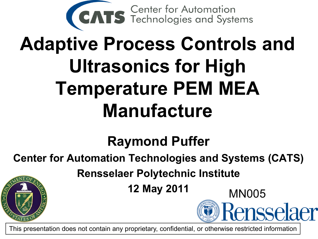

# **Adaptive Process Controls and Ultrasonics for High Temperature PEM MEA Manufacture**

#### **Raymond Puffer**

#### **Center for Automation Technologies and Systems (CATS)**

**Rensselaer Polytechnic Institute**

**12 May 2011** MN005

Rensselaer

This presentation does not contain any proprietary, confidential, or otherwise restricted information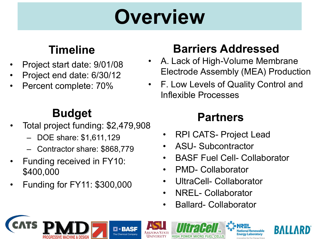# **Overview**

#### **Timeline**

- Project start date: 9/01/08
- Project end date: 6/30/12
- Percent complete: 70%

#### **Budget**

- Total project funding: \$2,479,908
	- DOE share: \$1,611,129
	- Contractor share: \$868,779
- Funding received in FY10: \$400,000
- Funding for FY11: \$300,000

#### **Barriers Addressed**

- A. Lack of High-Volume Membrane Electrode Assembly (MEA) Production
- F. Low Levels of Quality Control and Inflexible Processes

#### **Partners**

- RPI CATS- Project Lead
- ASU- Subcontractor
- BASF Fuel Cell- Collaborator

2

- PMD- Collaborator
- UltraCell- Collaborator
- NREL- Collaborator
- Ballard- Collaborator

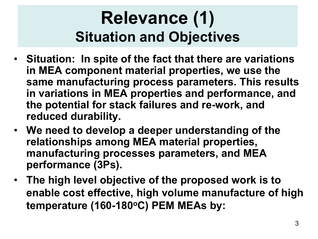#### **Relevance (1) Situation and Objectives**

- **Situation: In spite of the fact that there are variations in MEA component material properties, we use the same manufacturing process parameters. This results in variations in MEA properties and performance, and the potential for stack failures and re-work, and reduced durability.**
- **We need to develop a deeper understanding of the relationships among MEA material properties, manufacturing processes parameters, and MEA performance (3Ps).**
- **The high level objective of the proposed work is to enable cost effective, high volume manufacture of high**  temperature (160-180<sup>o</sup>C) PEM MEAs by: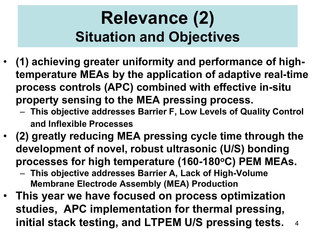#### **Relevance (2) Situation and Objectives**

- **(1) achieving greater uniformity and performance of hightemperature MEAs by the application of adaptive real-time process controls (APC) combined with effective in-situ property sensing to the MEA pressing process.**
	- **This objective addresses Barrier F, Low Levels of Quality Control and Inflexible Processes**
- **(2) greatly reducing MEA pressing cycle time through the development of novel, robust ultrasonic (U/S) bonding**  processes for high temperature (160-180°C) PEM MEAs.
	- **This objective addresses Barrier A, Lack of High-Volume Membrane Electrode Assembly (MEA) Production**
- 4 • **This year we have focused on process optimization studies, APC implementation for thermal pressing, initial stack testing, and LTPEM U/S pressing tests.**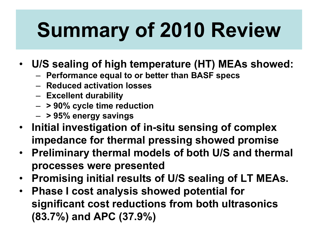# **Summary of 2010 Review**

- **U/S sealing of high temperature (HT) MEAs showed:**
	- **Performance equal to or better than BASF specs**
	- **Reduced activation losses**
	- **Excellent durability**
	- **> 90% cycle time reduction**
	- **> 95% energy savings**
- **Initial investigation of in-situ sensing of complex impedance for thermal pressing showed promise**
- **Preliminary thermal models of both U/S and thermal processes were presented**
- **Promising initial results of U/S sealing of LT MEAs.**
- **Phase I cost analysis showed potential for significant cost reductions from both ultrasonics (83.7%) and APC (37.9%)**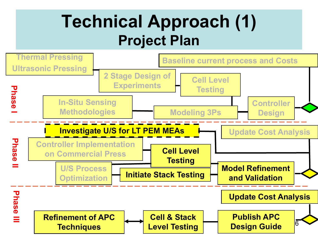#### **Technical Approach (1) Project Plan**

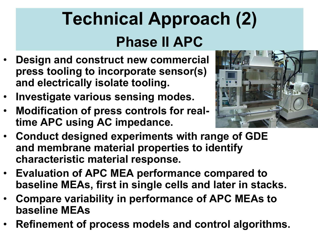## **Technical Approach (2) Phase II APC**

- **Design and construct new commercial press tooling to incorporate sensor(s) and electrically isolate tooling.**
- **Investigate various sensing modes.**
- **Modification of press controls for realtime APC using AC impedance.**



- **Conduct designed experiments with range of GDE and membrane material properties to identify characteristic material response.**
- **Evaluation of APC MEA performance compared to baseline MEAs, first in single cells and later in stacks.**
- **Compare variability in performance of APC MEAs to baseline MEAs**
- **Refinement of process models and control algorithms.**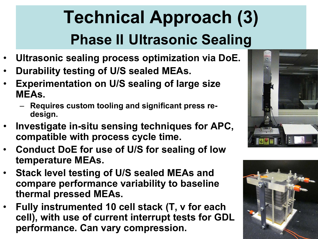## **Technical Approach (3) Phase II Ultrasonic Sealing**

- **Ultrasonic sealing process optimization via DoE.**
- **Durability testing of U/S sealed MEAs.**
- **Experimentation on U/S sealing of large size MEAs.**
	- **Requires custom tooling and significant press redesign.**
- **Investigate in-situ sensing techniques for APC, compatible with process cycle time.**
- **Conduct DoE for use of U/S for sealing of low temperature MEAs.**
- **Stack level testing of U/S sealed MEAs and compare performance variability to baseline thermal pressed MEAs.**
- **Fully instrumented 10 cell stack (T, v for each cell), with use of current interrupt tests for GDL performance. Can vary compression.**



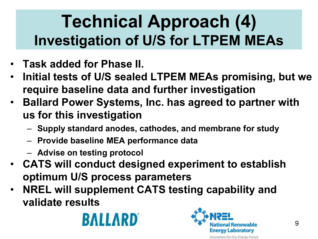## **Technical Approach (4) Investigation of U/S for LTPEM MEAs**

- **Task added for Phase II.**
- **Initial tests of U/S sealed LTPEM MEAs promising, but we require baseline data and further investigation**
- **Ballard Power Systems, Inc. has agreed to partner with us for this investigation**
	- **Supply standard anodes, cathodes, and membrane for study**
	- **Provide baseline MEA performance data**
	- **Advise on testing protocol**
- **CATS will conduct designed experiment to establish optimum U/S process parameters**
- **NREL will supplement CATS testing capability and validate results**



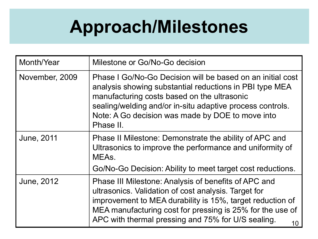#### **Approach/Milestones**

| Month/Year        | Milestone or Go/No-Go decision                                                                                                                                                                                                                                                                     |
|-------------------|----------------------------------------------------------------------------------------------------------------------------------------------------------------------------------------------------------------------------------------------------------------------------------------------------|
| November, 2009    | Phase I Go/No-Go Decision will be based on an initial cost<br>analysis showing substantial reductions in PBI type MEA<br>manufacturing costs based on the ultrasonic<br>sealing/welding and/or in-situ adaptive process controls.<br>Note: A Go decision was made by DOE to move into<br>Phase II. |
| <b>June, 2011</b> | Phase II Milestone: Demonstrate the ability of APC and<br>Ultrasonics to improve the performance and uniformity of<br>MEA <sub>s</sub>                                                                                                                                                             |
|                   | Go/No-Go Decision: Ability to meet target cost reductions.                                                                                                                                                                                                                                         |
| June, 2012        | Phase III Milestone: Analysis of benefits of APC and<br>ultrasonics. Validation of cost analysis. Target for<br>improvement to MEA durability is 15%, target reduction of<br>MEA manufacturing cost for pressing is 25% for the use of<br>APC with thermal pressing and 75% for U/S sealing.<br>10 |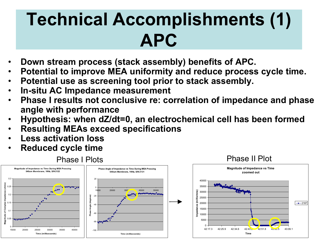## **Technical Accomplishments (1) APC**

- **Down stream process (stack assembly) benefits of APC.**
- **Potential to improve MEA uniformity and reduce process cycle time.**
- **Potential use as screening tool prior to stack assembly.**
- **In-situ AC Impedance measurement**
- **Phase I results not conclusive re: correlation of impedance and phase angle with performance**
- **Hypothesis: when dZ/dt=0, an electrochemical cell has been formed**
- **Resulting MEAs exceed specifications**
- **Less activation loss**
- **Reduced cycle time**

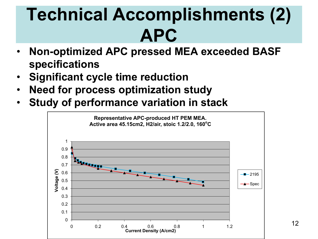## **Technical Accomplishments (2) APC**

- **Non-optimized APC pressed MEA exceeded BASF specifications**
- **Significant cycle time reduction**
- **Need for process optimization study**
- **Study of performance variation in stack**

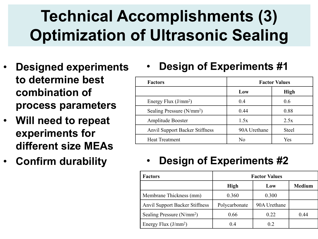#### Accomp<br>n of Ultra  $\overline{\phantom{a}}$ **Technical Accomplishments (3) Optimization of Ultrasonic Sealing**

- **Designed experiments to determine best combination of process parameters**
- **Will need to repeat experiments for different size MEAs**
- **Confirm durability**

• **Design of Experiments #1**

| <b>Factors</b>                        | <b>Factor Values</b> |              |  |
|---------------------------------------|----------------------|--------------|--|
|                                       | Low                  | <b>High</b>  |  |
| Energy Flux $(J/mm^2)$                | 0.4                  | 0.6          |  |
| Sealing Pressure (N/mm <sup>2</sup> ) | 0.44                 | 0.88         |  |
| Amplitude Booster                     | 1.5x                 | 2.5x         |  |
| <b>Anvil Support Backer Stiffness</b> | 90A Urethane         | <b>Steel</b> |  |
| <b>Heat Treatment</b>                 | N <sub>0</sub>       | Yes          |  |

#### • **Design of Experiments #2**

| <b>Factors</b>                        | <b>Factor Values</b> |              |               |  |
|---------------------------------------|----------------------|--------------|---------------|--|
|                                       | High                 | Low          | <b>Medium</b> |  |
| Membrane Thickness (mm)               | 0.360                | 0.300        |               |  |
| <b>Anvil Support Backer Stiffness</b> | Polycarbonate        | 90A Urethane |               |  |
| Sealing Pressure (N/mm <sup>2</sup> ) | 0.66                 | 0.22         | 0.44          |  |
| Energy Flux $(J/mm^2)$                | 0.4                  | 02           |               |  |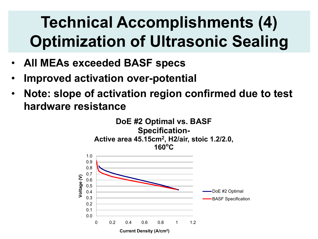#### **Technical Accomplishments (4) Optimization of Ultrasonic Sealing**

- **All MEAs exceeded BASF specs**
- **Improved activation over-potential**
- Specific Aims • **Note: slope of activation region confirmed due to test hardware resistance**

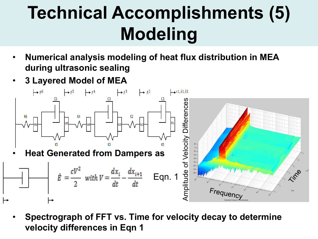# **Technical Accomplishments (5) Modeling**

- **Numerical analysis modeling of heat flux distribution in MEA during ultrasonic sealing**
- **3 Layered Model of MEA**



• **Spectrograph of FFT vs. Time for velocity decay to determine velocity differences in Eqn 1**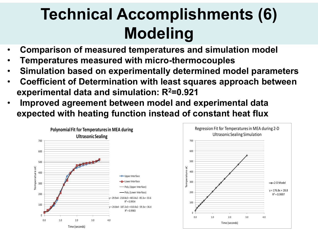#### **Technical Accomplishments (6) Modeling**

- **Comparison of measured temperatures and simulation model**
- **Temperatures measured with micro-thermocouples**
- **Simulation based on experimentally determined model parameters**
- **Coefficient of Determination with least squares approach between experimental data and simulation: R2=0.921**
- lm<br>exp • **Improved agreement between model and experimental data expected with heating function instead of constant heat flux**



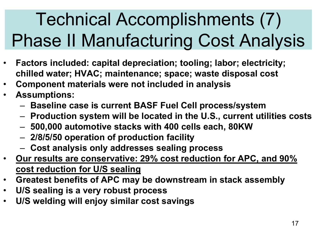# Technical Accomplishments (7) Phase II Manufacturing Cost Analysis

- **Factors included: capital depreciation; tooling; labor; electricity; chilled water; HVAC; maintenance; space; waste disposal cost**
- **Component materials were not included in analysis**
- **Assumptions:**
	- **Baseline case is current BASF Fuel Cell process/system**
	- **Production system will be located in the U.S., current utilities costs**
	- **500,000 automotive stacks with 400 cells each, 80KW**
	- **2/8/5/50 operation of production facility**
	- **Cost analysis only addresses sealing process**
- **Our results are conservative: 29% cost reduction for APC, and 90% cost reduction for U/S sealing**
- **Greatest benefits of APC may be downstream in stack assembly**
- **U/S sealing is a very robust process**
- **U/S welding will enjoy similar cost savings**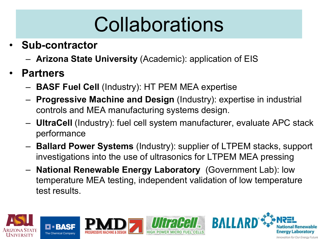# Collaborations

- **Sub-contractor**
	- **Arizona State University** (Academic): application of EIS
- **Partners**
	- **BASF Fuel Cell** (Industry): HT PEM MEA expertise
	- **Progressive Machine and Design** (Industry): expertise in industrial controls and MEA manufacturing systems design.
	- **UltraCell** (Industry): fuel cell system manufacturer, evaluate APC stack performance
	- **Ballard Power Systems** (Industry): supplier of LTPEM stacks, support investigations into the use of ultrasonics for LTPEM MEA pressing
	- **National Renewable Energy Laboratory** (Government Lab): low temperature MEA testing, independent validation of low temperature test results.

**BALL** 

 $\overline{\phantom{a}}$ i Re

**Energy Laboratory** 

Innovation for Our Energy Future



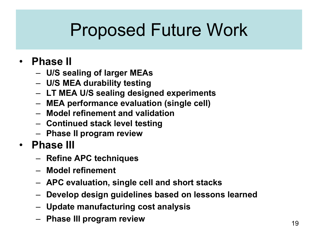## Proposed Future Work

#### • **Phase II**

- **U/S sealing of larger MEAs**
- **U/S MEA durability testing**
- **LT MEA U/S sealing designed experiments**
- **MEA performance evaluation (single cell)**
- **Model refinement and validation**
- **Continued stack level testing**
- **Phase II program review**
- **Phase III**
	- **Refine APC techniques**
	- **Model refinement**
	- **APC evaluation, single cell and short stacks**
	- **Develop design guidelines based on lessons learned**
	- **Update manufacturing cost analysis**
	- **Phase III program review**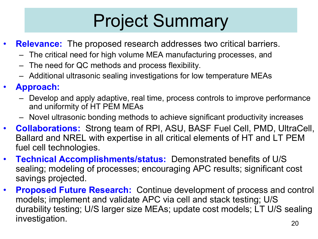## Project Summary

- **Relevance:** The proposed research addresses two critical barriers.
	- The critical need for high volume MEA manufacturing processes, and
	- The need for QC methods and process flexibility.
	- Additional ultrasonic sealing investigations for low temperature MEAs
- **Approach:**
	- Develop and apply adaptive, real time, process controls to improve performance and uniformity of HT PEM MEAs
	- Novel ultrasonic bonding methods to achieve significant productivity increases
- **Collaborations:** Strong team of RPI, ASU, BASF Fuel Cell, PMD, UltraCell, Ballard and NREL with expertise in all critical elements of HT and LT PEM fuel cell technologies.
- **Technical Accomplishments/status:** Demonstrated benefits of U/S sealing; modeling of processes; encouraging APC results; significant cost savings projected.
- **Proposed Future Research:** Continue development of process and control models; implement and validate APC via cell and stack testing; U/S durability testing; U/S larger size MEAs; update cost models; LT U/S sealing investigation.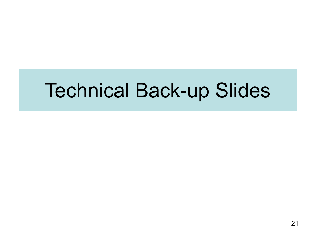## Technical Back-up Slides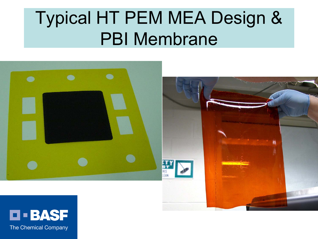## Typical HT PEM MEA Design & PBI Membrane